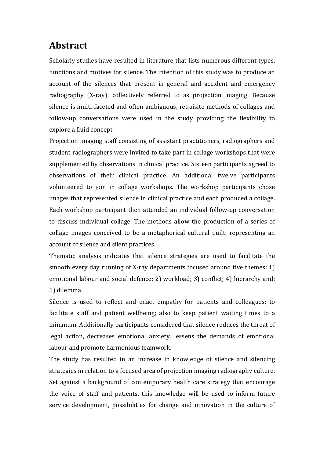## **Abstract**

Scholarly studies have resulted in literature that lists numerous different types, functions and motives for silence. The intention of this study was to produce an account of the silences that present in general and accident and emergency radiography (X-ray); collectively referred to as projection imaging. Because silence is multi-faceted and often ambiguous, requisite methods of collages and follow-up conversations were used in the study providing the flexibility to explore a fluid concept.

Projection imaging staff consisting of assistant practitioners, radiographers and student radiographers were invited to take part in collage workshops that were supplemented by observations in clinical practice. Sixteen participants agreed to observations of their clinical practice. An additional twelve participants volunteered to join in collage workshops. The workshop participants chose images that represented silence in clinical practice and each produced a collage. Each workshop participant then attended an individual follow-up conversation to discuss individual collage. The methods allow the production of a series of collage images conceived to be a metaphorical cultural quilt: representing an account of silence and silent practices.

Thematic analysis indicates that silence strategies are used to facilitate the smooth every day running of X-ray departments focused around five themes: 1) emotional labour and social defence; 2) workload; 3) conflict; 4) hierarchy and; 5) dilemma. 

Silence is used to reflect and enact empathy for patients and colleagues; to facilitate staff and patient wellbeing; also to keep patient waiting times to a minimum. Additionally participants considered that silence reduces the threat of legal action, decreases emotional anxiety, lessens the demands of emotional labour and promote harmonious teamwork.

The study has resulted in an increase in knowledge of silence and silencing strategies in relation to a focused area of projection imaging radiography culture. Set against a background of contemporary health care strategy that encourage the voice of staff and patients, this knowledge will be used to inform future service development, possibilities for change and innovation in the culture of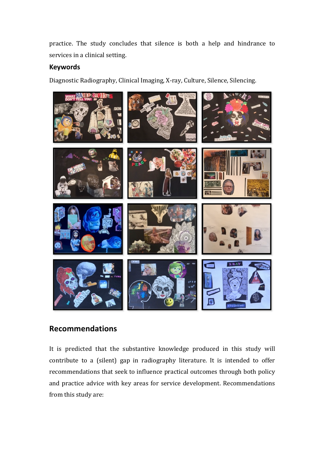practice. The study concludes that silence is both a help and hindrance to services in a clinical setting.

## **Keywords**

Diagnostic Radiography, Clinical Imaging, X-ray, Culture, Silence, Silencing.



## **Recommendations**

It is predicted that the substantive knowledge produced in this study will contribute to a (silent) gap in radiography literature. It is intended to offer recommendations that seek to influence practical outcomes through both policy and practice advice with key areas for service development. Recommendations from this study are: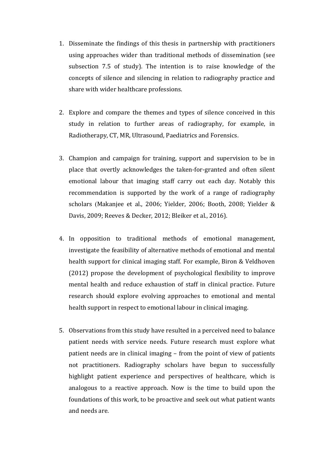- 1. Disseminate the findings of this thesis in partnership with practitioners using approaches wider than traditional methods of dissemination (see subsection 7.5 of study). The intention is to raise knowledge of the concepts of silence and silencing in relation to radiography practice and share with wider healthcare professions.
- 2. Explore and compare the themes and types of silence conceived in this study in relation to further areas of radiography, for example, in Radiotherapy, CT, MR, Ultrasound, Paediatrics and Forensics.
- 3. Champion and campaign for training, support and supervision to be in place that overtly acknowledges the taken-for-granted and often silent emotional labour that imaging staff carry out each day. Notably this recommendation is supported by the work of a range of radiography scholars (Makanjee et al., 2006; Yielder, 2006; Booth, 2008; Yielder & Davis, 2009; Reeves & Decker, 2012; Bleiker et al., 2016).
- 4. In opposition to traditional methods of emotional management, investigate the feasibility of alternative methods of emotional and mental health support for clinical imaging staff. For example, Biron & Veldhoven (2012) propose the development of psychological flexibility to improve mental health and reduce exhaustion of staff in clinical practice. Future research should explore evolving approaches to emotional and mental health support in respect to emotional labour in clinical imaging.
- 5. Observations from this study have resulted in a perceived need to balance patient needs with service needs. Future research must explore what patient needs are in clinical imaging – from the point of view of patients not practitioners. Radiography scholars have begun to successfully highlight patient experience and perspectives of healthcare, which is analogous to a reactive approach. Now is the time to build upon the foundations of this work, to be proactive and seek out what patient wants and needs are.